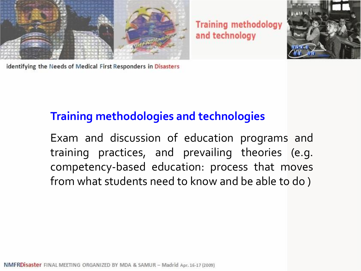



identifying the Needs of Medical First Responders in Disasters

## **Training methodologies and technologies**

Exam and discussion of education programs and training practices, and prevailing theories (e.g. competency-based education: process that moves from what students need to know and be able to do )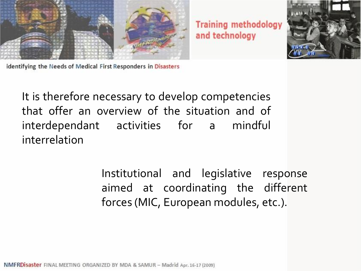



identifying the Needs of Medical First Responders in Disasters

It is therefore necessary to develop competencies that offer an overview of the situation and of interdependant activities for a mindful interrelation

> Institutional and legislative response aimed at coordinating the different forces (MIC, European modules, etc.).

NMFRDisaster FINAL MEETING ORGANIZED BY MDA & SAMUR - Madrid Apr. 16-17 (2009)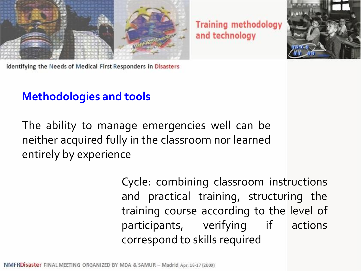



identifying the Needs of Medical First Responders in Disasters

# **Methodologies and tools**

The ability to manage emergencies well can be neither acquired fully in the classroom nor learned entirely by experience

> Cycle: combining classroom instructions and practical training, structuring the training course according to the level of participants, verifying if actions correspond to skills required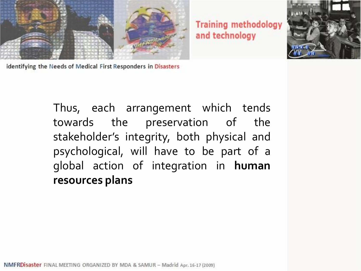



identifying the Needs of Medical First Responders in Disasters

Thus, each arrangement which tends towards the preservation of the stakeholder's integrity, both physical and psychological, will have to be part of a global action of integration in **human resources plans**

NMFRDisaster FINAL MEETING ORGANIZED BY MDA & SAMUR - Madrid Apr. 16-17 (2009)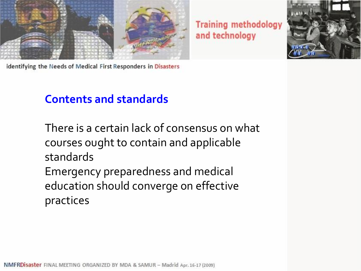



identifying the Needs of Medical First Responders in Disasters

## **Contents and standards**

There is a certain lack of consensus on what courses ought to contain and applicable standards

Emergency preparedness and medical education should converge on effective practices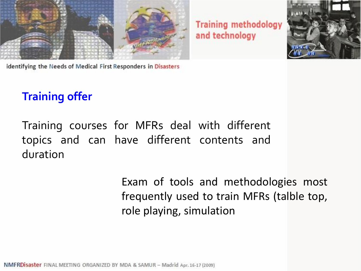



identifying the Needs of Medical First Responders in Disasters

# **Training offer**

Training courses for MFRs deal with different topics and can have different contents and duration

> Exam of tools and methodologies most frequently used to train MFRs (talble top, role playing, simulation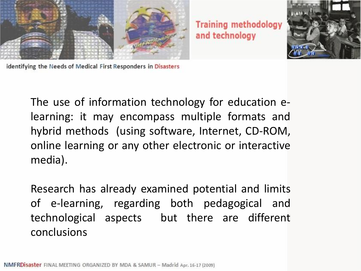



identifying the Needs of Medical First Responders in Disasters

The use of information technology for education elearning: it may encompass multiple formats and hybrid methods (using software, Internet, CD-ROM, online learning or any other electronic or interactive media).

Research has already examined potential and limits of e-learning, regarding both pedagogical and technological aspects but there are different conclusions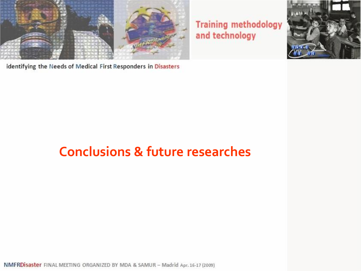

identifying the Needs of Medical First Responders in Disasters

# **Conclusions & future researches**

NMFRDisaster FINAL MEETING ORGANIZED BY MDA & SAMUR - Madrid Apr. 16-17 (2009)

**Training methodology** and technology

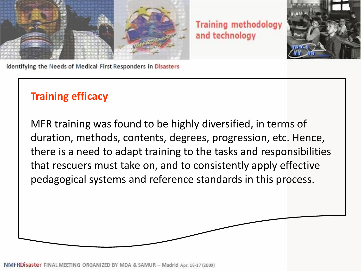



identifying the Needs of Medical First Responders in Disasters

## **Training efficacy**

MFR training was found to be highly diversified, in terms of duration, methods, contents, degrees, progression, etc. Hence, there is a need to adapt training to the tasks and responsibilities that rescuers must take on, and to consistently apply effective pedagogical systems and reference standards in this process.

NMFRDIsaster FINAL MEETING ORGANIZED BY MDA & SAMUR - Madrid Apr. 16-17 (2009)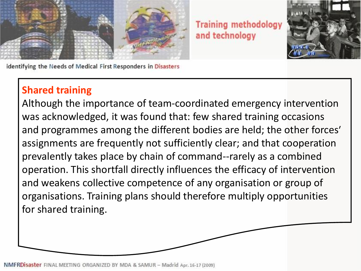



identifying the Needs of Medical First Responders in Disasters

## **Shared training**

Although the importance of team-coordinated emergency intervention was acknowledged, it was found that: few shared training occasions and programmes among the different bodies are held; the other forces' assignments are frequently not sufficiently clear; and that cooperation prevalently takes place by chain of command--rarely as a combined operation. This shortfall directly influences the efficacy of intervention and weakens collective competence of any organisation or group of organisations. Training plans should therefore multiply opportunities for shared training.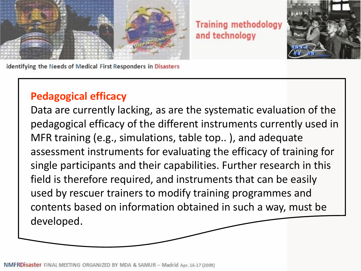



identifying the Needs of Medical First Responders in Disasters

#### **Pedagogical efficacy**

Data are currently lacking, as are the systematic evaluation of the pedagogical efficacy of the different instruments currently used in MFR training (e.g., simulations, table top.. ), and adequate assessment instruments for evaluating the efficacy of training for single participants and their capabilities. Further research in this field is therefore required, and instruments that can be easily used by rescuer trainers to modify training programmes and contents based on information obtained in such a way, must be developed.

NMFRDIsaster FINAL MEETING ORGANIZED BY MDA & SAMUR - Madrid Apr. 16-17 (2009)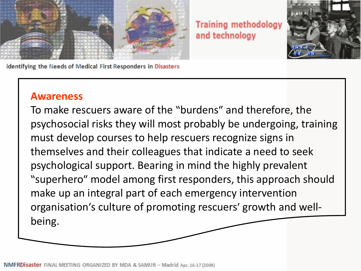



identifying the Needs of Medical First Responders in Disasters

#### **Awareness**

To make rescuers aware of the "burdens" and therefore, the psychosocial risks they will most probably be undergoing, training must develop courses to help rescuers recognize signs in themselves and their colleagues that indicate a need to seek psychological support. Bearing in mind the highly prevalent "superhero" model among first responders, this approach should make up an integral part of each emergency intervention organisation's culture of promoting rescuers' growth and wellbeing.

NMFRDIsaster FINAL MEETING ORGANIZED BY MDA & SAMUR - Madrid Apr. 16-17 (2009)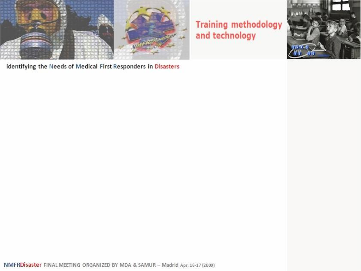

identifying the Needs of Medical First Responders in Disasters

#### **Training methodology** and technology